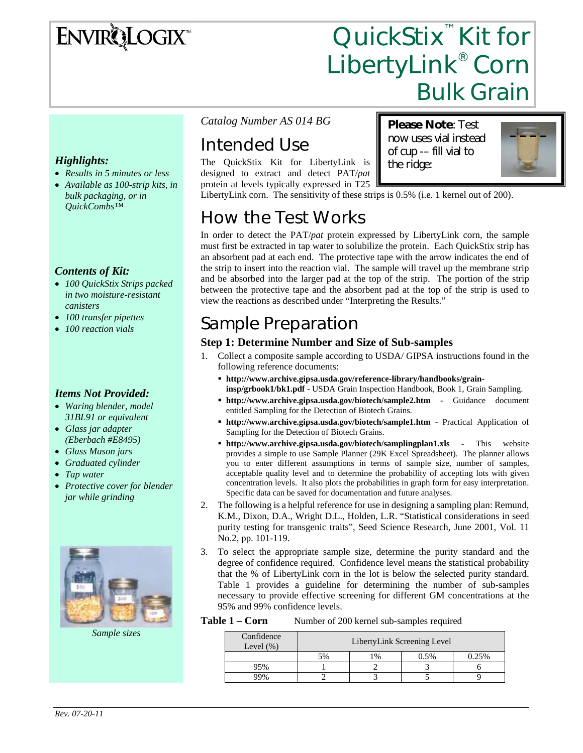# **ENVIRQLOGIX**

# QuickStix<sup>™</sup> Kit for LibertyLink® Corn Bulk Grain

#### *Highlights:*

- *Results in 5 minutes or less*
- *Available as 100-strip kits, in bulk packaging, or in QuickCombs™*

#### *Contents of Kit:*

- *100 QuickStix Strips packed in two moisture-resistant canisters*
- *100 transfer pipettes*
- *100 reaction vials*

#### *Items Not Provided:*

- *Waring blender, model 31BL91 or equivalent*
- *Glass jar adapter (Eberbach #E8495)*
- *Glass Mason jars*
- *Graduated cylinder*
- *Tap water*
- *Protective cover for blender jar while grinding*



*Sample sizes* 

*Catalog Number AS 014 BG* 

## Intended Use

The QuickStix Kit for LibertyLink is designed to extract and detect PAT/*pat* protein at levels typically expressed in T25 **Please Note**: Test now uses vial instead of cup -– fill vial to the ridge:



LibertyLink corn. The sensitivity of these strips is 0.5% (i.e. 1 kernel out of 200).

### How the Test Works

In order to detect the PAT/*pat* protein expressed by LibertyLink corn, the sample must first be extracted in tap water to solubilize the protein. Each QuickStix strip has an absorbent pad at each end. The protective tape with the arrow indicates the end of the strip to insert into the reaction vial. The sample will travel up the membrane strip and be absorbed into the larger pad at the top of the strip. The portion of the strip between the protective tape and the absorbent pad at the top of the strip is used to view the reactions as described under "Interpreting the Results."

### Sample Preparation

#### **Step 1: Determine Number and Size of Sub-samples**

- 1. Collect a composite sample according to USDA/ GIPSA instructions found in the following reference documents:
	- **http://www.archive.gipsa.usda.gov/reference-library/handbooks/graininsp/grbook1/bk1.pdf** - USDA Grain Inspection Handbook, Book 1, Grain Sampling.
	- **http://www.archive.gipsa.usda.gov/biotech/sample2.htm** Guidance document entitled Sampling for the Detection of Biotech Grains.
	- **http://www.archive.gipsa.usda.gov/biotech/sample1.htm** Practical Application of Sampling for the Detection of Biotech Grains.
	- **http://www.archive.gipsa.usda.gov/biotech/samplingplan1.xls** This website provides a simple to use Sample Planner (29K Excel Spreadsheet). The planner allows you to enter different assumptions in terms of sample size, number of samples, acceptable quality level and to determine the probability of accepting lots with given concentration levels. It also plots the probabilities in graph form for easy interpretation. Specific data can be saved for documentation and future analyses.
- 2. The following is a helpful reference for use in designing a sampling plan: Remund, K.M., Dixon, D.A., Wright D.L., Holden, L.R. "Statistical considerations in seed purity testing for transgenic traits", Seed Science Research, June 2001, Vol. 11 No.2, pp. 101-119.
- 3. To select the appropriate sample size, determine the purity standard and the degree of confidence required. Confidence level means the statistical probability that the % of LibertyLink corn in the lot is below the selected purity standard. Table 1 provides a guideline for determining the number of sub-samples necessary to provide effective screening for different GM concentrations at the 95% and 99% confidence levels.

Table 1 – Corn Number of 200 kernel sub-samples required

| Confidence<br>Level $(\%)$ | LibertyLink Screening Level |               |      |       |  |
|----------------------------|-----------------------------|---------------|------|-------|--|
|                            | 5%                          | $\frac{0}{0}$ | 0.5% | 0.25% |  |
| .5%                        |                             |               |      |       |  |
|                            |                             |               |      |       |  |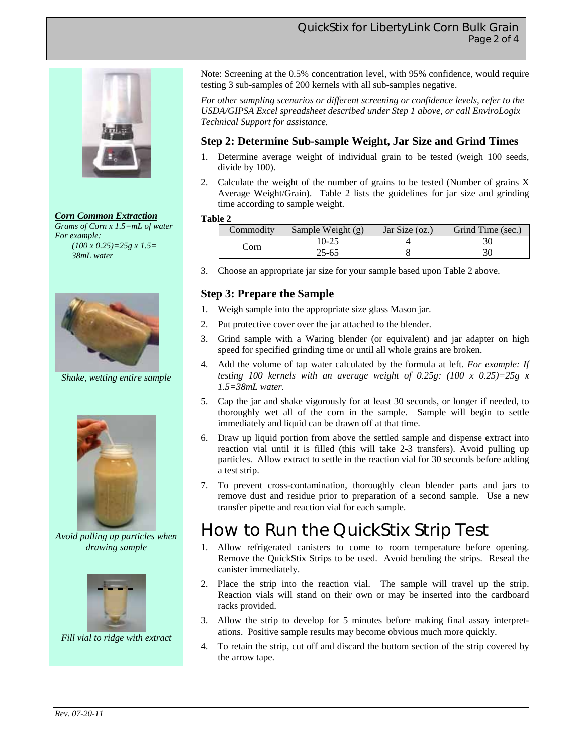





*Shake, wetting entire sample* 



*Avoid pulling up particles when drawing sample* 



*Fill vial to ridge with extract* 

Note: Screening at the 0.5% concentration level, with 95% confidence, would require testing 3 sub-samples of 200 kernels with all sub-samples negative.

*For other sampling scenarios or different screening or confidence levels, refer to the USDA/GIPSA Excel spreadsheet described under Step 1 above, or call EnviroLogix Technical Support for assistance.*

#### **Step 2: Determine Sub-sample Weight, Jar Size and Grind Times**

- 1. Determine average weight of individual grain to be tested (weigh 100 seeds, divide by 100).
- 2. Calculate the weight of the number of grains to be tested (Number of grains X Average Weight/Grain). Table 2 lists the guidelines for jar size and grinding time according to sample weight.

#### **Table 2**

| Commodity | Sample Weight (g) | Jar Size $(oz.)$ | Grind Time (sec.) |
|-----------|-------------------|------------------|-------------------|
| ∠orn      | 10-25             |                  |                   |
|           | 25-65             |                  |                   |

3. Choose an appropriate jar size for your sample based upon Table 2 above.

#### **Step 3: Prepare the Sample**

- 1. Weigh sample into the appropriate size glass Mason jar.
- 2. Put protective cover over the jar attached to the blender.
- 3. Grind sample with a Waring blender (or equivalent) and jar adapter on high speed for specified grinding time or until all whole grains are broken.
- 4. Add the volume of tap water calculated by the formula at left. *For example: If testing 100 kernels with an average weight of 0.25g: (100 x 0.25)=25g x 1.5=38mL water.*
- 5. Cap the jar and shake vigorously for at least 30 seconds, or longer if needed, to thoroughly wet all of the corn in the sample. Sample will begin to settle immediately and liquid can be drawn off at that time.
- 6. Draw up liquid portion from above the settled sample and dispense extract into reaction vial until it is filled (this will take 2-3 transfers). Avoid pulling up particles. Allow extract to settle in the reaction vial for 30 seconds before adding a test strip.
- 7. To prevent cross-contamination, thoroughly clean blender parts and jars to remove dust and residue prior to preparation of a second sample. Use a new transfer pipette and reaction vial for each sample.

### How to Run the QuickStix Strip Test

- 1. Allow refrigerated canisters to come to room temperature before opening. Remove the QuickStix Strips to be used. Avoid bending the strips. Reseal the canister immediately.
- 2. Place the strip into the reaction vial. The sample will travel up the strip. Reaction vials will stand on their own or may be inserted into the cardboard racks provided.
- 3. Allow the strip to develop for 5 minutes before making final assay interpretations. Positive sample results may become obvious much more quickly.
- 4. To retain the strip, cut off and discard the bottom section of the strip covered by the arrow tape.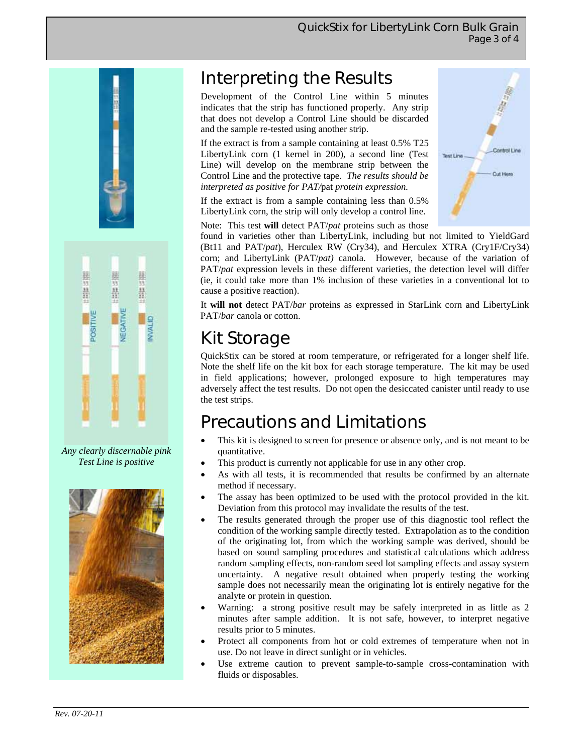

*Any clearly discernable pink Test Line is positive* 



### Interpreting the Results

Development of the Control Line within 5 minutes indicates that the strip has functioned properly. Any strip that does not develop a Control Line should be discarded and the sample re-tested using another strip.

If the extract is from a sample containing at least 0.5% T25 LibertyLink corn (1 kernel in 200), a second line (Test Line) will develop on the membrane strip between the Control Line and the protective tape. *The results should be interpreted as positive for PAT/*pat *protein expression.* 

If the extract is from a sample containing less than 0.5% LibertyLink corn, the strip will only develop a control line.

Note: This test **will** detect PAT/*pat* proteins such as those



found in varieties other than LibertyLink, including but not limited to YieldGard (Bt11 and PAT/*pat*), Herculex RW (Cry34), and Herculex XTRA (Cry1F/Cry34) corn; and LibertyLink (PAT/*pat)* canola. However, because of the variation of PAT/*pat* expression levels in these different varieties, the detection level will differ (ie, it could take more than 1% inclusion of these varieties in a conventional lot to cause a positive reaction).

It **will not** detect PAT/*bar* proteins as expressed in StarLink corn and LibertyLink PAT/*bar* canola or cotton.

### Kit Storage

QuickStix can be stored at room temperature, or refrigerated for a longer shelf life. Note the shelf life on the kit box for each storage temperature. The kit may be used in field applications; however, prolonged exposure to high temperatures may adversely affect the test results. Do not open the desiccated canister until ready to use the test strips.

### Precautions and Limitations

- This kit is designed to screen for presence or absence only, and is not meant to be quantitative.
- This product is currently not applicable for use in any other crop.
- As with all tests, it is recommended that results be confirmed by an alternate method if necessary.
- The assay has been optimized to be used with the protocol provided in the kit. Deviation from this protocol may invalidate the results of the test.
- The results generated through the proper use of this diagnostic tool reflect the condition of the working sample directly tested. Extrapolation as to the condition of the originating lot, from which the working sample was derived, should be based on sound sampling procedures and statistical calculations which address random sampling effects, non-random seed lot sampling effects and assay system uncertainty. A negative result obtained when properly testing the working sample does not necessarily mean the originating lot is entirely negative for the analyte or protein in question.
- Warning: a strong positive result may be safely interpreted in as little as 2 minutes after sample addition. It is not safe, however, to interpret negative results prior to 5 minutes.
- Protect all components from hot or cold extremes of temperature when not in use. Do not leave in direct sunlight or in vehicles.
- Use extreme caution to prevent sample-to-sample cross-contamination with fluids or disposables.